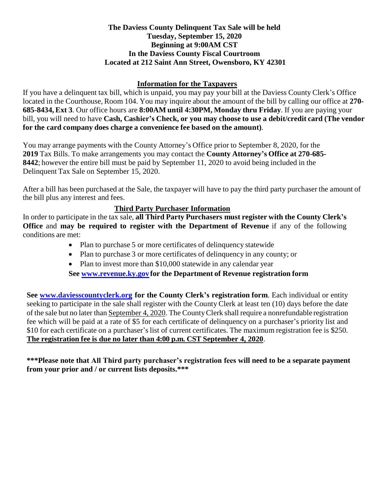### **The Daviess County Delinquent Tax Sale will be held Tuesday, September 15, 2020 Beginning at 9:00AM CST In the Daviess County Fiscal Courtroom Located at 212 Saint Ann Street, Owensboro, KY 42301**

### **Information for the Taxpayers**

If you have a delinquent tax bill, which is unpaid, you may pay your bill at the Daviess County Clerk's Office located in the Courthouse, Room 104. You may inquire about the amount of the bill by calling our office at **270- 685-8434, Ext 3**. Our office hours are **8:00AM until 4:30PM, Monday thru Friday**. If you are paying your bill, you will need to have **Cash, Cashier's Check, or you may choose to use a debit/credit card (The vendor for the card company does charge a convenience fee based on the amount)**.

You may arrange payments with the County Attorney's Office prior to September 8, 2020, for the **2019** Tax Bills. To make arrangements you may contact the **County Attorney's Office at 270-685- 8442**; however the entire bill must be paid by September 11, 2020 to avoid being included in the Delinquent Tax Sale on September 15, 2020.

After a bill has been purchased at the Sale, the taxpayer will have to pay the third party purchaser the amount of the bill plus any interest and fees.

### **Third Party Purchaser Information**

In order to participate in the tax sale, **all Third Party Purchasers must register with the County Clerk's Office** and **may be required to register with the Department of Revenue** if any of the following conditions are met:

- Plan to purchase 5 or more certificates of delinquency statewide
- Plan to purchase 3 or more certificates of delinquency in any county; or
- Plan to invest more than \$10,000 statewide in any calendar year

**See [www.revenue.ky.gov](http://www.revenue.ky.gov/) for the Department of Revenue registration form**

**See [www.daviesscountyclerk.org](http://www.daviesscountyclerk.org/) for the County Clerk's registration form**. Each individual or entity seeking to participate in the sale shall register with the County Clerk at least ten (10) days before the date of the sale but no later than September 4, 2020. The CountyClerk shall require a nonrefundable registration fee which will be paid at a rate of \$5 for each certificate of delinquency on a purchaser's priority list and \$10 for each certificate on a purchaser's list of current certificates. The maximum registration fee is \$250. **The registration fee is due no later than 4:00 p.m. CST September 4, 2020**.

**\*\*\*Please note that All Third party purchaser's registration fees will need to be a separate payment from your prior and / or current lists deposits.\*\*\***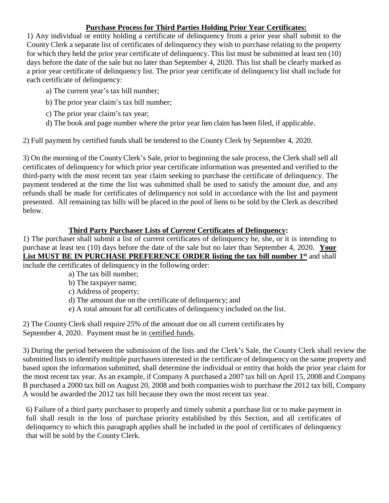# **Purchase Process for Third Parties Holding Prior Year Certificates:**

1) Any individual or entity holding a certificate of delinquency from a prior year shall submit to the County Clerk a separate list of certificates of delinquency they wish to purchase relating to the property for which they held the prior year certificate of delinquency. This list must be submitted at least ten (10) days before the date of the sale but no later than September 4, 2020. This list shall be clearly marked as a prior year certificate of delinquency list. The prior year certificate of delinquency list shall include for each certificate of delinquency:

- a) The current year's tax bill number;
- b) The prior year claim's tax bill number;
- c) The prior year claim's tax year;
- d) The book and page number where the prior year lien claim has been filed, if applicable.

2) Full payment by certified funds shall be tendered to the County Clerk by September 4, 2020.

3) On the morning of the County Clerk's Sale, prior to beginning the sale process, the Clerk shall sell all certificates of delinquency for which prior year certificate information was presented and verified to the third-party with the most recent tax year claim seeking to purchase the certificate of delinquency. The payment tendered at the time the list was submitted shall be used to satisfy the amount due, and any refunds shall be made for certificates of delinquency not sold in accordance with the list and payment presented. All remaining tax bills will be placed in the pool of liens to be sold by the Clerk as described below.

## **Third Party Purchaser Lists of** *Current* **Certificates of Delinquency:**

1) The purchaser shall submit a list of current certificates of delinquency he, she, or it is intending to purchase at least ten (10) days before the date of the sale but no later than September 4, 2020. **Your List MUST BE IN PURCHASE PREFERENCE ORDER listing the tax bill number 1st** and shall include the certificates of delinquency in the following order:

- a) The tax bill number;
- b) The taxpayer name;
- c) Address of property;
- d) The amount due on the certificate of delinquency; and
- e) A total amount for all certificates of delinquency included on the list.

2) The County Clerk shall require 25% of the amount due on all current certificates by September 4, 2020. Payment must be in certified funds.

3) During the period between the submission of the lists and the Clerk's Sale, the County Clerk shall review the submitted lists to identify multiple purchasers interested in the certificate of delinquency on the same property and based upon the information submitted, shall determine the individual or entity that holds the prior year claim for the most recent tax year. As an example, if Company A purchased a 2007 tax bill on April 15, 2008 and Company B purchased a 2000 tax bill on August 20, 2008 and both companies wish to purchase the 2012 tax bill, Company A would be awarded the 2012 tax bill because they own the most recent tax year.

6) Failure of a third party purchaser to properly and timely submit a purchase list or to make payment in full shall result in the loss of purchase priority established by this Section, and all certificates of delinquency to which this paragraph applies shall be included in the pool of certificates of delinquency that will be sold by the County Clerk.